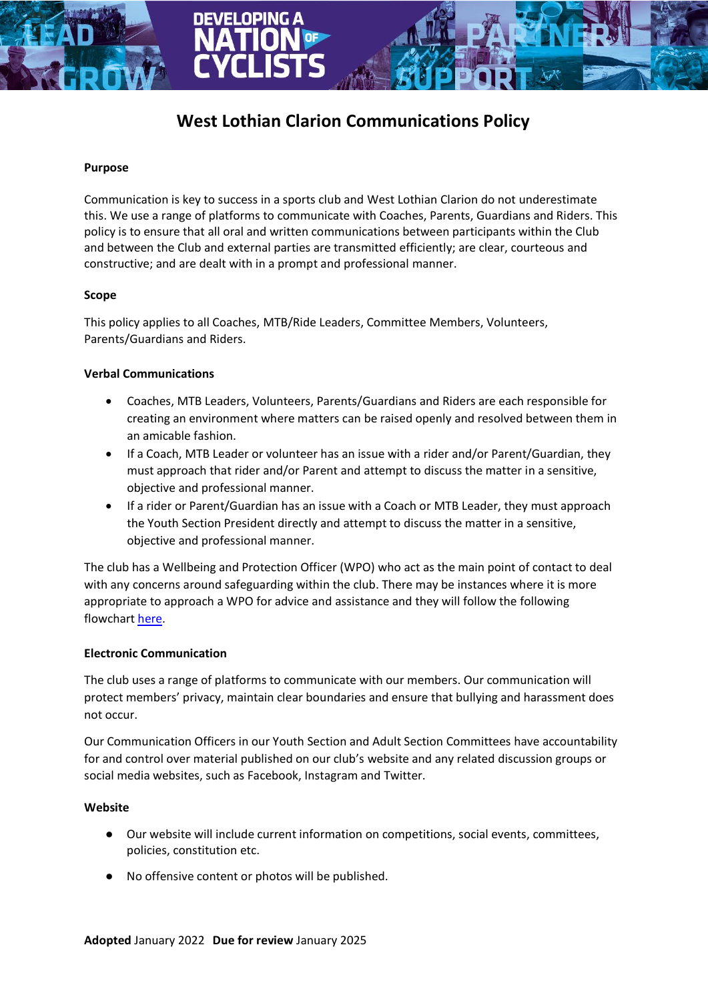# **West Lothian Clarion Communications Policy**

#### **Purpose**

Communication is key to success in a sports club and West Lothian Clarion do not underestimate this. We use a range of platforms to communicate with Coaches, Parents, Guardians and Riders. This policy is to ensure that all oral and written communications between participants within the Club and between the Club and external parties are transmitted efficiently; are clear, courteous and constructive; and are dealt with in a prompt and professional manner.

## **Scope**

This policy applies to all Coaches, MTB/Ride Leaders, Committee Members, Volunteers, Parents/Guardians and Riders.

## **Verbal Communications**

- Coaches, MTB Leaders, Volunteers, Parents/Guardians and Riders are each responsible for creating an environment where matters can be raised openly and resolved between them in an amicable fashion.
- If a Coach, MTB Leader or volunteer has an issue with a rider and/or Parent/Guardian, they must approach that rider and/or Parent and attempt to discuss the matter in a sensitive, objective and professional manner.
- If a rider or Parent/Guardian has an issue with a Coach or MTB Leader, they must approach the Youth Section President directly and attempt to discuss the matter in a sensitive, objective and professional manner.

The club has a Wellbeing and Protection Officer (WPO) who act as the main point of contact to deal with any concerns around safeguarding within the club. There may be instances where it is more appropriate to approach a WPO for advice and assistance and they will follow the following flowchart [here.](https://www.britishcycling.org.uk/zuvvi/media/scottishcycling/childprotection/2-Dealing_with_Allegations_of_Abuse_Flowchart.pdf)

## **Electronic Communication**

The club uses a range of platforms to communicate with our members. Our communication will protect members' privacy, maintain clear boundaries and ensure that bullying and harassment does not occur.

Our Communication Officers in our Youth Section and Adult Section Committees have accountability for and control over material published on our club's website and any related discussion groups or social media websites, such as Facebook, Instagram and Twitter.

#### **Website**

- Our website will include current information on competitions, social events, committees, policies, constitution etc.
- No offensive content or photos will be published.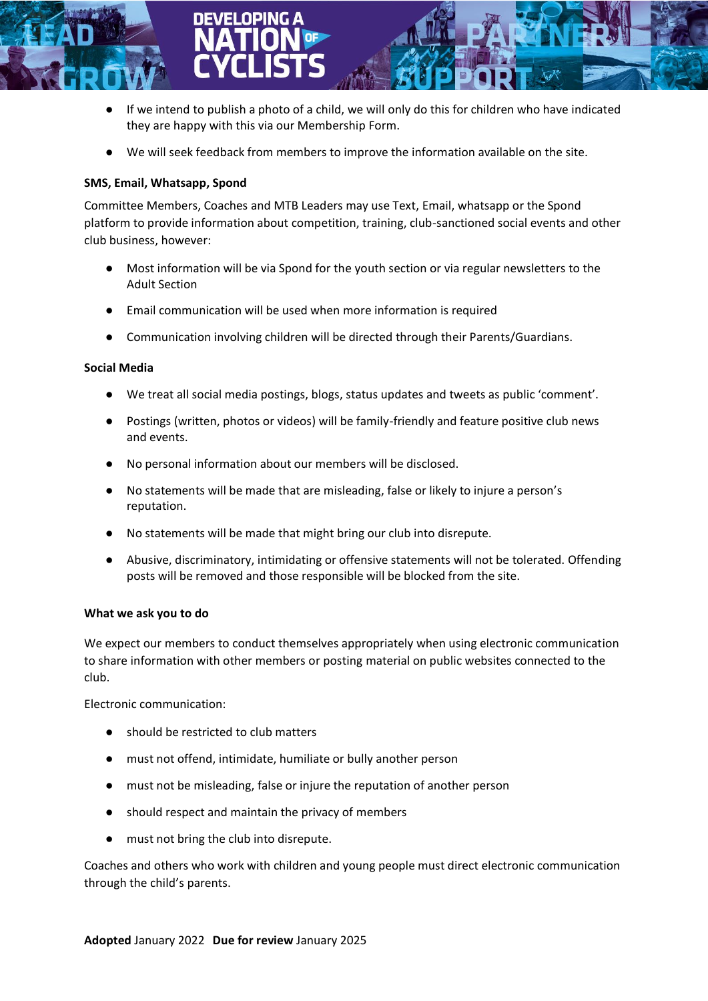

- If we intend to publish a photo of a child, we will only do this for children who have indicated they are happy with this via our Membership Form.
- We will seek feedback from members to improve the information available on the site.

# **SMS, Email, Whatsapp, Spond**

Committee Members, Coaches and MTB Leaders may use Text, Email, whatsapp or the Spond platform to provide information about competition, training, club-sanctioned social events and other club business, however:

- Most information will be via Spond for the youth section or via regular newsletters to the Adult Section
- Email communication will be used when more information is required
- Communication involving children will be directed through their Parents/Guardians.

# **Social Media**

- We treat all social media postings, blogs, status updates and tweets as public 'comment'.
- Postings (written, photos or videos) will be family-friendly and feature positive club news and events.
- No personal information about our members will be disclosed.
- No statements will be made that are misleading, false or likely to injure a person's reputation.
- No statements will be made that might bring our club into disrepute.
- Abusive, discriminatory, intimidating or offensive statements will not be tolerated. Offending posts will be removed and those responsible will be blocked from the site.

# **What we ask you to do**

We expect our members to conduct themselves appropriately when using electronic communication to share information with other members or posting material on public websites connected to the club.

Electronic communication:

- should be restricted to club matters
- must not offend, intimidate, humiliate or bully another person
- must not be misleading, false or injure the reputation of another person
- should respect and maintain the privacy of members
- must not bring the club into disrepute.

Coaches and others who work with children and young people must direct electronic communication through the child's parents.